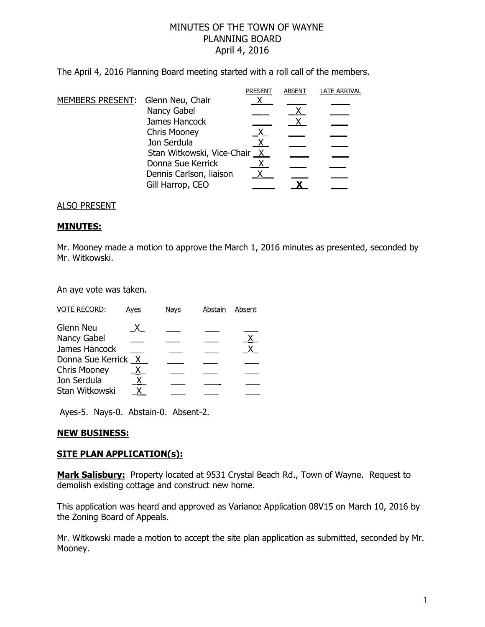# MINUTES OF THE TOWN OF WAYNE PLANNING BOARD April 4, 2016

The April 4, 2016 Planning Board meeting started with a roll call of the members.

|                                   |                              | <b>PRESENT</b> | <b>ABSENT</b> | <b>LATE ARRIVAL</b> |
|-----------------------------------|------------------------------|----------------|---------------|---------------------|
| MEMBERS PRESENT: Glenn Neu, Chair |                              |                |               |                     |
|                                   | Nancy Gabel                  |                |               |                     |
|                                   | James Hancock                |                |               |                     |
|                                   | <b>Chris Mooney</b>          |                |               |                     |
|                                   | Jon Serdula                  |                |               |                     |
|                                   | Stan Witkowski, Vice-Chair X |                |               |                     |
|                                   | Donna Sue Kerrick            |                |               |                     |
|                                   | Dennis Carlson, liaison      |                |               |                     |
|                                   | Gill Harrop, CEO             |                |               |                     |
|                                   |                              |                |               |                     |

### ALSO PRESENT

#### **MINUTES:**

Mr. Mooney made a motion to approve the March 1, 2016 minutes as presented, seconded by Mr. Witkowski.

An aye vote was taken.

| <b>VOTE RECORD:</b>                | Ayes | <b>Nays</b> | Abstain | Absent         |
|------------------------------------|------|-------------|---------|----------------|
| Glenn Neu                          | x.   |             |         |                |
| Nancy Gabel                        |      |             |         | $\overline{X}$ |
| James Hancock                      |      |             |         | $\mathsf{X}$   |
| Donna Sue Kerrick X                |      |             |         |                |
| <b>Chris Mooney</b><br>Jon Serdula |      |             |         |                |
| Stan Witkowski                     |      |             |         |                |
|                                    |      |             |         |                |

Ayes-5. Nays-0. Abstain-0. Absent-2.

## **NEW BUSINESS:**

### **SITE PLAN APPLICATION(s):**

**Mark Salisbury:** Property located at 9531 Crystal Beach Rd., Town of Wayne. Request to demolish existing cottage and construct new home.

This application was heard and approved as Variance Application 08V15 on March 10, 2016 by the Zoning Board of Appeals.

Mr. Witkowski made a motion to accept the site plan application as submitted, seconded by Mr. Mooney.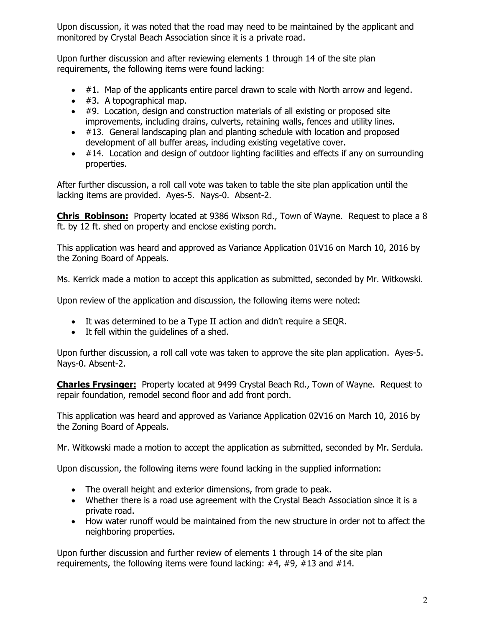Upon discussion, it was noted that the road may need to be maintained by the applicant and monitored by Crystal Beach Association since it is a private road.

Upon further discussion and after reviewing elements 1 through 14 of the site plan requirements, the following items were found lacking:

- $\bullet$  #1. Map of the applicants entire parcel drawn to scale with North arrow and legend.
- #3. A topographical map.
- #9. Location, design and construction materials of all existing or proposed site improvements, including drains, culverts, retaining walls, fences and utility lines.
- #13. General landscaping plan and planting schedule with location and proposed development of all buffer areas, including existing vegetative cover.
- $\bullet$  #14. Location and design of outdoor lighting facilities and effects if any on surrounding properties.

After further discussion, a roll call vote was taken to table the site plan application until the lacking items are provided. Ayes-5. Nays-0. Absent-2.

**Chris Robinson:** Property located at 9386 Wixson Rd., Town of Wayne. Request to place a 8 ft. by 12 ft. shed on property and enclose existing porch.

This application was heard and approved as Variance Application 01V16 on March 10, 2016 by the Zoning Board of Appeals.

Ms. Kerrick made a motion to accept this application as submitted, seconded by Mr. Witkowski.

Upon review of the application and discussion, the following items were noted:

- It was determined to be a Type II action and didn't require a SEQR.
- It fell within the guidelines of a shed.

Upon further discussion, a roll call vote was taken to approve the site plan application. Ayes-5. Nays-0. Absent-2.

**Charles Frysinger:** Property located at 9499 Crystal Beach Rd., Town of Wayne. Request to repair foundation, remodel second floor and add front porch.

This application was heard and approved as Variance Application 02V16 on March 10, 2016 by the Zoning Board of Appeals.

Mr. Witkowski made a motion to accept the application as submitted, seconded by Mr. Serdula.

Upon discussion, the following items were found lacking in the supplied information:

- The overall height and exterior dimensions, from grade to peak.
- Whether there is a road use agreement with the Crystal Beach Association since it is a private road.
- How water runoff would be maintained from the new structure in order not to affect the neighboring properties.

Upon further discussion and further review of elements 1 through 14 of the site plan requirements, the following items were found lacking: #4, #9, #13 and #14.